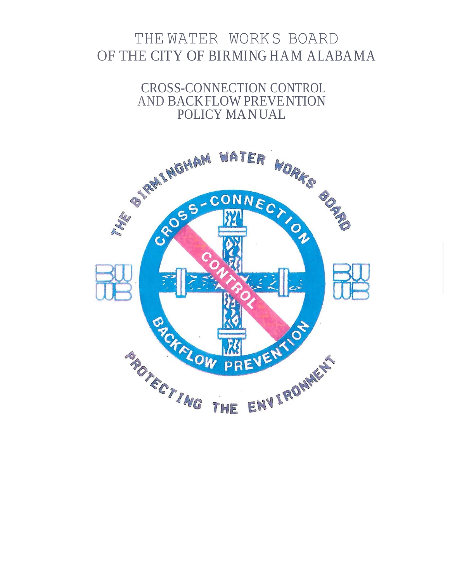# THE WATER WORKS BOARD OF THE CITY OF BIRMING HAM ALABAMA

CROSS-CONNECTION CONTROL AND BACKFLOW PREVENTION POLICY MANUAL

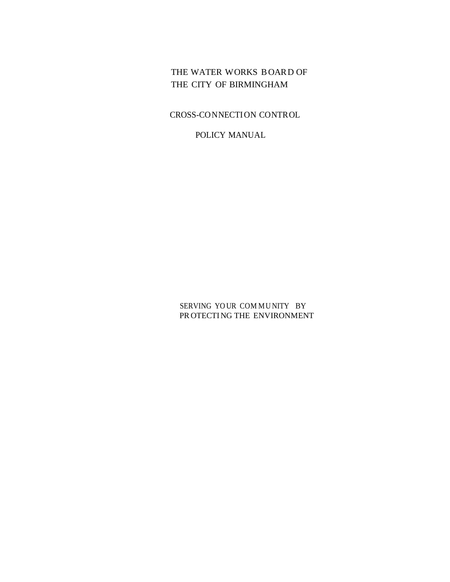THE WATER WORKS BOARD OF THE CITY OF BIRMINGHAM

CROSS-CONNECTION CONTROL

POLICY MANUAL

SERVING YO UR COM MU NITY BY PR OTECTING THE ENVIRONMENT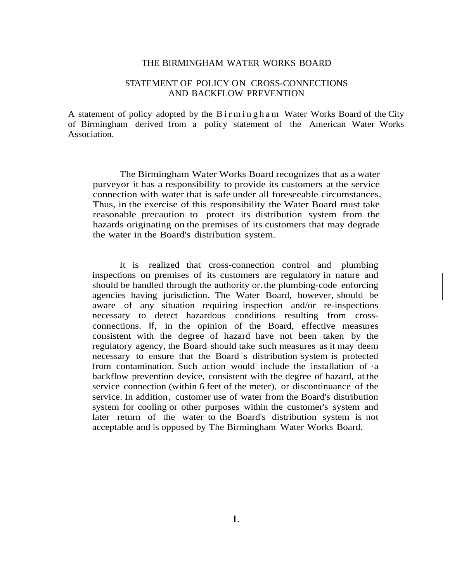#### THE BIRMINGHAM WATER WORKS BOARD

#### STATEMENT OF POLICY ON CROSS-CONNECTIONS AND BACKFLOW PREVENTION

A statement of policy adopted by the B i r m i n g h a m Water Works Board of the City of Birmingham derived from a policy statement of the American Water Works Association.

The Birmingham Water Works Board recognizes that as a water purveyor it has a responsibility to provide its customers at the service connection with water that is safe under all foreseeable circumstances. Thus, in the exercise of this responsibility the Water Board must take reasonable precaution to protect its distribution system from the hazards originating on the premises of its customers that may degrade the water in the Board's distribution system.

It is realized that cross-connection control and plumbing inspections on premises of its customers are regulatory in nature and should be handled through the authority or.the plumbing-code enforcing agencies having jurisdiction. The Water Board, however, should be aware of any situation requiring inspection and/or re-inspections necessary to detect hazardous conditions resulting from crossconnections. If, in the opinion of the Board, effective measures consistent with the degree of hazard have not been taken by the regulatory agency, the Board should take such measures as it may deem necessary to ensure that the Board's distribution system is protected from contamination. Such action would include the installation of ·a backflow prevention device, consistent with the degree of hazard, at the service connection (within 6 feet of the meter), or discontinuance of the service. In addition, customer use of water from the Board's distribution system for cooling or other purposes within the customer's system and later return of the water to the Board's distribution system is not acceptable and is opposed by The Birmingham Water Works Board.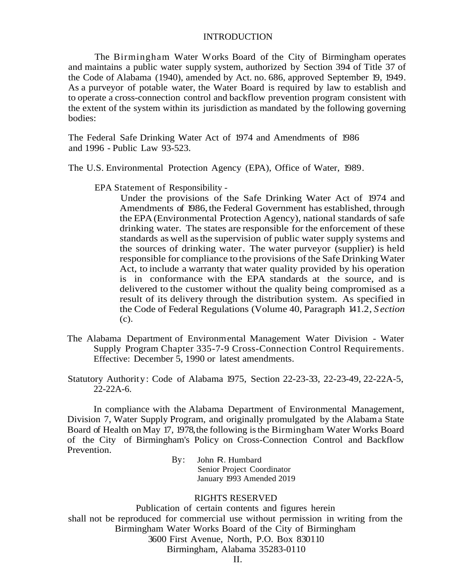#### INTRODUCTION

The Birmingham Water Works Board of the City of Birmingham operates and maintains a public water supply system, authorized by Section 394 of Title 37 of the Code of Alabama (1940), amended by Act. no. 686, approved September 19, 1949. As a purveyor of potable water, the Water Board is required by law to establish and to operate a cross-connection control and backflow prevention program consistent with the extent of the system within its jurisdiction as mandated by the following governing bodies:

The Federal Safe Drinking Water Act of 1974 and Amendments of 1986 and 1996 - Public Law 93-523.

The U.S. Environmental Protection Agency (EPA), Office of Water, 1989.

EPA Statement of Responsibility -

Under the provisions of the Safe Drinking Water Act of 1974 and Amendments of 1986, the Federal Government has established, through the EPA(Environmental Protection Agency), national standards of safe drinking water. The states are responsible for the enforcement of these standards as well asthe supervision of public water supply systems and the sources of drinking water. The water purveyor (supplier) is held responsible for compliance to the provisions of the Safe Drinking Water Act, to include a warranty that water quality provided by his operation is in conformance with the EPA standards at the source, and is delivered to the customer without the quality being compromised as a result of its delivery through the distribution system. As specified in the Code of Federal Regulations (Volume 40, Paragraph 141.2, *S ection* (c).

- The Alabama Department of Environmental Management Water Division Water Supply Program Chapter 335-7-9 Cross-Connection Control Requirements. Effective: December 5, 1990 or latest amendments.
- Statutory Authority: Code of Alabama 1975, Section 22-23-33, 22-23-49, 22-22A-5, 22-22A-6.

In compliance with the Alabama Department of Environmental Management, Division 7, Water Supply Program, and originally promulgated by the Alabama State Board of Health on May 17, 1978,the following isthe Birmingham Water Works Board of the City of Birmingham's Policy on Cross-Connection Control and Backflow Prevention.

> By: John R. Humbard Senior Project Coordinator January 1993 Amended 2019

#### RIGHTS RESERVED

Publication of certain contents and figures herein shall not be reproduced for commercial use without permission in writing from the Birmingham Water Works Board of the City of Birmingham 3600 First Avenue, North, P.O. Box 830110 Birmingham, Alabama 35283-0110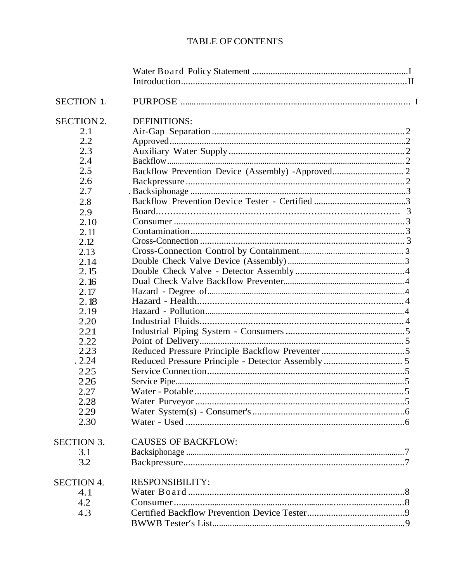# **TABLE OF CONTENI'S**

| <b>SECTION 1.</b> |                                                   |  |
|-------------------|---------------------------------------------------|--|
| SECTION2.         | <b>DEFINITIONS:</b>                               |  |
| 2.1               |                                                   |  |
| 2.2               |                                                   |  |
| 2.3               |                                                   |  |
| 2.4               |                                                   |  |
| 2.5               | Backflow Prevention Device (Assembly) -Approved 2 |  |
| 2.6               |                                                   |  |
| 2.7               |                                                   |  |
| 2.8               |                                                   |  |
| 2.9               |                                                   |  |
| 2.10              |                                                   |  |
| 2.11              |                                                   |  |
| 2.12              |                                                   |  |
| 2.13              |                                                   |  |
| 2.14              |                                                   |  |
| 2.15              |                                                   |  |
| 2.16              |                                                   |  |
| 2.17              |                                                   |  |
| 2.18              |                                                   |  |
| 2.19              |                                                   |  |
| 2.20              |                                                   |  |
| 2.21              |                                                   |  |
| 2.22              |                                                   |  |
| 2.23              |                                                   |  |
| .2.24             |                                                   |  |
| 2.25              |                                                   |  |
| 2.26              |                                                   |  |
| 2.27              |                                                   |  |
| 2.28              |                                                   |  |
| 2.29              |                                                   |  |
| 2.30              |                                                   |  |
| <b>SECTION 3.</b> | <b>CAUSES OF BACKFLOW:</b>                        |  |
| 3.1               |                                                   |  |
| 3.2               |                                                   |  |
| <b>SECTION 4.</b> | <b>RESPONSIBILITY:</b>                            |  |
| 4.1               |                                                   |  |
| 4.2               |                                                   |  |
| 4.3               |                                                   |  |
|                   |                                                   |  |
|                   |                                                   |  |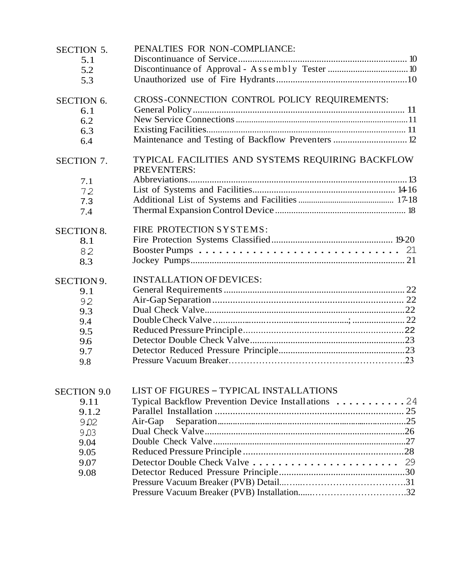| 5.1<br>5.2<br>5.3<br>CROSS-CONNECTION CONTROL POLICY REQUIREMENTS:<br>6.1<br>6.2<br>6.3<br>Maintenance and Testing of Backflow Preventers  12<br>6.4<br>TYPICAL FACILITIES AND SYSTEMS REQUIRING BACKFLOW<br><b>PREVENTERS:</b><br>7.1<br>72<br>7.3<br>7.4<br>FIRE PROTECTION SYSTEMS:<br><b>SECTION 8.</b><br>8.1<br>82<br>8.3<br><b>INSTALLATION OF DEVICES:</b><br>SECTION 9.<br>9.1<br>92<br>9.3<br>9.4<br>9.5<br>9.6<br>9.7<br>9.8<br><b>LIST OF FIGURES - TYPICAL INSTALLATIONS</b><br><b>SECTION 9.0</b><br>Typical Backflow Prevention Device Installations 24<br>9.11<br>9.1.2<br>Air-Gap<br>9.02<br>9.03<br>9.04<br>9.05<br>9.07<br>9.08 | <b>SECTION 5.</b> | PENALTIES FOR NON-COMPLIANCE: |  |
|----------------------------------------------------------------------------------------------------------------------------------------------------------------------------------------------------------------------------------------------------------------------------------------------------------------------------------------------------------------------------------------------------------------------------------------------------------------------------------------------------------------------------------------------------------------------------------------------------------------------------------------------------|-------------------|-------------------------------|--|
|                                                                                                                                                                                                                                                                                                                                                                                                                                                                                                                                                                                                                                                    |                   |                               |  |
|                                                                                                                                                                                                                                                                                                                                                                                                                                                                                                                                                                                                                                                    |                   |                               |  |
|                                                                                                                                                                                                                                                                                                                                                                                                                                                                                                                                                                                                                                                    |                   |                               |  |
|                                                                                                                                                                                                                                                                                                                                                                                                                                                                                                                                                                                                                                                    |                   |                               |  |
|                                                                                                                                                                                                                                                                                                                                                                                                                                                                                                                                                                                                                                                    | <b>SECTION 6.</b> |                               |  |
|                                                                                                                                                                                                                                                                                                                                                                                                                                                                                                                                                                                                                                                    |                   |                               |  |
|                                                                                                                                                                                                                                                                                                                                                                                                                                                                                                                                                                                                                                                    |                   |                               |  |
|                                                                                                                                                                                                                                                                                                                                                                                                                                                                                                                                                                                                                                                    |                   |                               |  |
|                                                                                                                                                                                                                                                                                                                                                                                                                                                                                                                                                                                                                                                    |                   |                               |  |
|                                                                                                                                                                                                                                                                                                                                                                                                                                                                                                                                                                                                                                                    | <b>SECTION 7.</b> |                               |  |
|                                                                                                                                                                                                                                                                                                                                                                                                                                                                                                                                                                                                                                                    |                   |                               |  |
|                                                                                                                                                                                                                                                                                                                                                                                                                                                                                                                                                                                                                                                    |                   |                               |  |
|                                                                                                                                                                                                                                                                                                                                                                                                                                                                                                                                                                                                                                                    |                   |                               |  |
|                                                                                                                                                                                                                                                                                                                                                                                                                                                                                                                                                                                                                                                    |                   |                               |  |
|                                                                                                                                                                                                                                                                                                                                                                                                                                                                                                                                                                                                                                                    |                   |                               |  |
|                                                                                                                                                                                                                                                                                                                                                                                                                                                                                                                                                                                                                                                    |                   |                               |  |
|                                                                                                                                                                                                                                                                                                                                                                                                                                                                                                                                                                                                                                                    |                   |                               |  |
|                                                                                                                                                                                                                                                                                                                                                                                                                                                                                                                                                                                                                                                    |                   |                               |  |
|                                                                                                                                                                                                                                                                                                                                                                                                                                                                                                                                                                                                                                                    |                   |                               |  |
|                                                                                                                                                                                                                                                                                                                                                                                                                                                                                                                                                                                                                                                    |                   |                               |  |
|                                                                                                                                                                                                                                                                                                                                                                                                                                                                                                                                                                                                                                                    |                   |                               |  |
|                                                                                                                                                                                                                                                                                                                                                                                                                                                                                                                                                                                                                                                    |                   |                               |  |
|                                                                                                                                                                                                                                                                                                                                                                                                                                                                                                                                                                                                                                                    |                   |                               |  |
|                                                                                                                                                                                                                                                                                                                                                                                                                                                                                                                                                                                                                                                    |                   |                               |  |
|                                                                                                                                                                                                                                                                                                                                                                                                                                                                                                                                                                                                                                                    |                   |                               |  |
|                                                                                                                                                                                                                                                                                                                                                                                                                                                                                                                                                                                                                                                    |                   |                               |  |
|                                                                                                                                                                                                                                                                                                                                                                                                                                                                                                                                                                                                                                                    |                   |                               |  |
|                                                                                                                                                                                                                                                                                                                                                                                                                                                                                                                                                                                                                                                    |                   |                               |  |
|                                                                                                                                                                                                                                                                                                                                                                                                                                                                                                                                                                                                                                                    |                   |                               |  |
|                                                                                                                                                                                                                                                                                                                                                                                                                                                                                                                                                                                                                                                    |                   |                               |  |
|                                                                                                                                                                                                                                                                                                                                                                                                                                                                                                                                                                                                                                                    |                   |                               |  |
|                                                                                                                                                                                                                                                                                                                                                                                                                                                                                                                                                                                                                                                    |                   |                               |  |
|                                                                                                                                                                                                                                                                                                                                                                                                                                                                                                                                                                                                                                                    |                   |                               |  |
|                                                                                                                                                                                                                                                                                                                                                                                                                                                                                                                                                                                                                                                    |                   |                               |  |
|                                                                                                                                                                                                                                                                                                                                                                                                                                                                                                                                                                                                                                                    |                   |                               |  |
|                                                                                                                                                                                                                                                                                                                                                                                                                                                                                                                                                                                                                                                    |                   |                               |  |
|                                                                                                                                                                                                                                                                                                                                                                                                                                                                                                                                                                                                                                                    |                   |                               |  |
|                                                                                                                                                                                                                                                                                                                                                                                                                                                                                                                                                                                                                                                    |                   |                               |  |
|                                                                                                                                                                                                                                                                                                                                                                                                                                                                                                                                                                                                                                                    |                   |                               |  |
|                                                                                                                                                                                                                                                                                                                                                                                                                                                                                                                                                                                                                                                    |                   |                               |  |
|                                                                                                                                                                                                                                                                                                                                                                                                                                                                                                                                                                                                                                                    |                   |                               |  |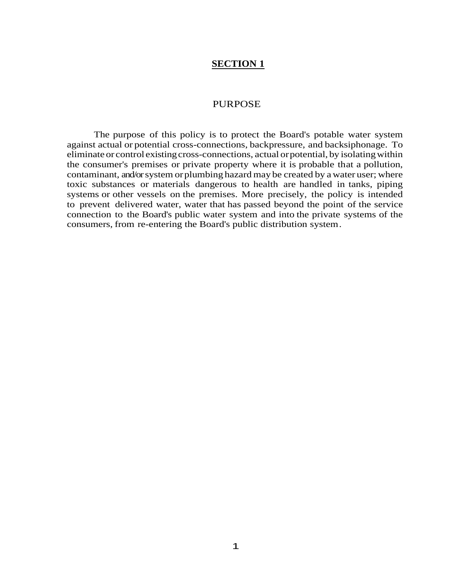#### PURPOSE

The purpose of this policy is to protect the Board's potable water system against actual or potential cross-connections, backpressure, and backsiphonage. To eliminate or control existing cross-connections, actual or potential, by isolating within the consumer's premises or private property where it is probable that a pollution, contaminant, and/or system orplumbing hazard may be created by a water user; where toxic substances or materials dangerous to health are handled in tanks, piping systems or other vessels on the premises. More precisely, the policy is intended to prevent delivered water, water that has passed beyond the point of the service connection to the Board's public water system and into the private systems of the consumers, from re-entering the Board's public distribution system.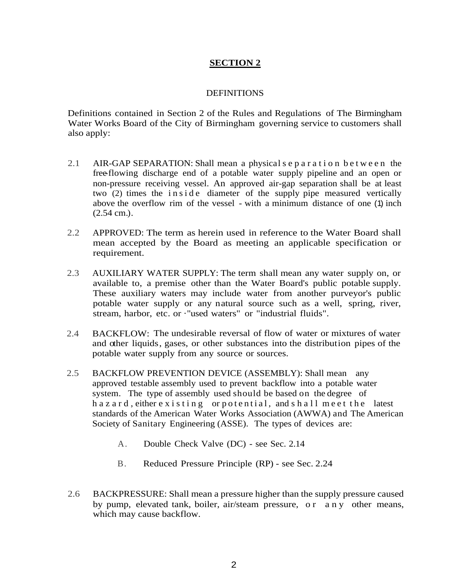## **DEFINITIONS**

Definitions contained in Section 2 of the Rules and Regulations of The Birmingham Water Works Board of the City of Birmingham governing service to customers shall also apply:

- 2.1 AIR-GAP SEPARATION: Shall mean a physical s e p a r a t i o n b e t w e e n the free-flowing discharge end of a potable water supply pipeline and an open or non-pressure receiving vessel. An approved air-gap separation shall be at least two  $(2)$  times the inside diameter of the supply pipe measured vertically above the overflow rim of the vessel - with a minimum distance of one (1) inch (2.54 cm.).
- 2.2 APPROVED: The term as herein used in reference to the Water Board shall mean accepted by the Board as meeting an applicable specification or requirement.
- 2.3 AUXILIARY WATER SUPPLY: The term shall mean any water supply on, or available to, a premise other than the Water Board's public potable supply. These auxiliary waters may include water from another purveyor's public potable water supply or any natural source such as a well, spring, river, stream, harbor, etc. or ·"used waters" or "industrial fluids".
- 2.4 BACKFLOW: The undesirable reversal of flow of water or mixtures of water and other liquids, gases, or other substances into the distribution pipes of the potable water supply from any source or sources.
- 2.5 BACKFLOW PREVENTION DEVICE (ASSEMBLY): Shall mean any approved testable assembly used to prevent backflow into a potable water system. The type of assembly used should be based on the degree of h a z a r d, either e x i s t i n g or p o t e n ti a l, and s h a l l m e e t t h e latest standards of the American Water Works Association (AWWA) and The American Society of Sanitary Engineering (ASSE). The types of devices are:
	- A. Double Check Valve (DC) see Sec. 2.14
	- B. Reduced Pressure Principle (RP) see Sec. 2.24
- 2.6 BACKPRESSURE: Shall mean a pressure higher than the supply pressure caused by pump, elevated tank, boiler, air/steam pressure, or any other means, which may cause backflow.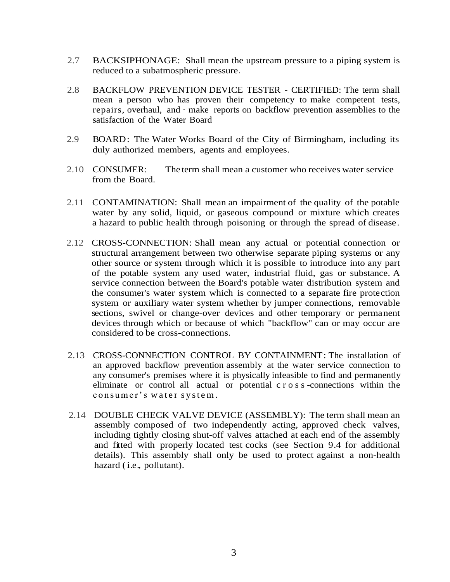- 2.7 BACKSIPHONAGE: Shall mean the upstream pressure to a piping system is reduced to a subatmospheric pressure.
- 2.8 BACKFLOW PREVENTION DEVICE TESTER CERTIFIED: The term shall mean a person who has proven their competency to make competent tests, repairs, overhaul, and · make reports on backflow prevention assemblies to the satisfaction of the Water Board
- 2.9 BOARD: The Water Works Board of the City of Birmingham, including its duly authorized members, agents and employees.
- 2.10 CONSUMER: from the Board. The term shall mean a customer who receives water service
- 2.11 CONTAMINATION: Shall mean an impairment of the quality of the potable water by any solid, liquid, or gaseous compound or mixture which creates a hazard to public health through poisoning or through the spread of disease.
- 2.12 CROSS-CONNECTION: Shall mean any actual or potential connection or structural arrangement between two otherwise separate piping systems or any other source or system through which it is possible to introduce into any part of the potable system any used water, industrial fluid, gas or substance. A service connection between the Board's potable water distribution system and the consumer's water system which is connected to a separate fire protection system or auxiliary water system whether by jumper connections, removable sections, swivel or change-over devices and other temporary or permanent devices through which or because of which "backflow" can or may occur are considered to be cross-connections.
- 2.13 CROSS-CONNECTION CONTROL BY CONTAINMENT: The installation of an approved backflow prevention assembly at the water service connection to any consumer's premises where it is physically infeasible to find and permanently eliminate or control all actual or potential c r o s s -connections within the consumer's water system.
- 2.14 DOUBLE CHECK VALVE DEVICE (ASSEMBLY): The term shall mean an assembly composed of two independently acting, approved check valves, including tightly closing shut-off valves attached at each end of the assembly and fitted with properly located test cocks (see Section 9.4 for additional details). This assembly shall only be used to protect against a non-health hazard (*i.e.*, pollutant).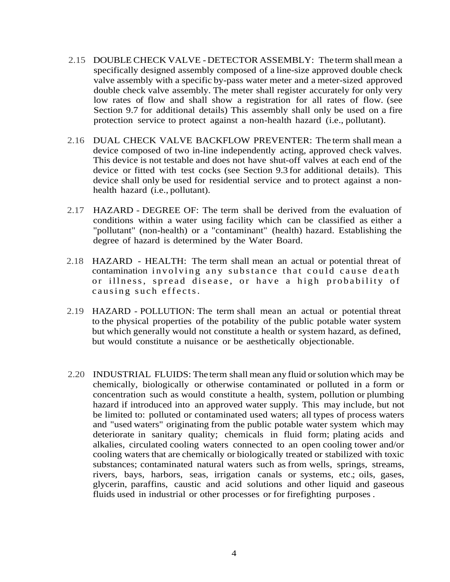- 2.15 DOUBLE CHECK VALVE DETECTOR ASSEMBLY: The term shall mean a specifically designed assembly composed of a line-size approved double check valve assembly with a specific by-pass water meter and a meter-sized approved double check valve assembly. The meter shall register accurately for only very low rates of flow and shall show a registration for all rates of flow. (see Section 9.7 for additional details) This assembly shall only be used on a fire protection service to protect against a non-health hazard (i.e., pollutant).
- 2.16 DUAL CHECK VALVE BACKFLOW PREVENTER: The term shall mean a device composed of two in-line independently acting, approved check valves. This device is not testable and does not have shut-off valves at each end of the device or fitted with test cocks (see Section 9.3 for additional details). This device shall only be used for residential service and to protect against a nonhealth hazard (i.e., pollutant).
- 2.17 HAZARD DEGREE OF: The term shall be derived from the evaluation of conditions within a water using facility which can be classified as either a "pollutant" (non-health) or a "contaminant" (health) hazard. Establishing the degree of hazard is determined by the Water Board.
- 2.18 HAZARD HEALTH: The term shall mean an actual or potential threat of contamination involving any substance that could cause death or illness, spread disease, or have a high probability of causing such effects.
- 2.19 HAZARD POLLUTION: The term shall mean an actual or potential threat to the physical properties of the potability of the public potable water system but which generally would not constitute a health or system hazard, as defined, but would constitute a nuisance or be aesthetically objectionable.
- 2.20 INDUSTRIAL FLUIDS: The term shall mean any fluid orsolution which may be chemically, biologically or otherwise contaminated or polluted in a form or concentration such as would constitute a health, system, pollution or plumbing hazard if introduced into an approved water supply. This may include, but not be limited to: polluted or contaminated used waters; all types of process waters and "used waters" originating from the public potable water system which may deteriorate in sanitary quality; chemicals in fluid form; plating acids and alkalies, circulated cooling waters connected to an open cooling tower and/or cooling waters that are chemically or biologically treated or stabilized with toxic substances; contaminated natural waters such as from wells, springs, streams, rivers, bays, harbors, seas, irrigation canals or systems, etc.; oils, gases, glycerin, paraffins, caustic and acid solutions and other liquid and gaseous fluids used in industrial or other processes or for firefighting purposes .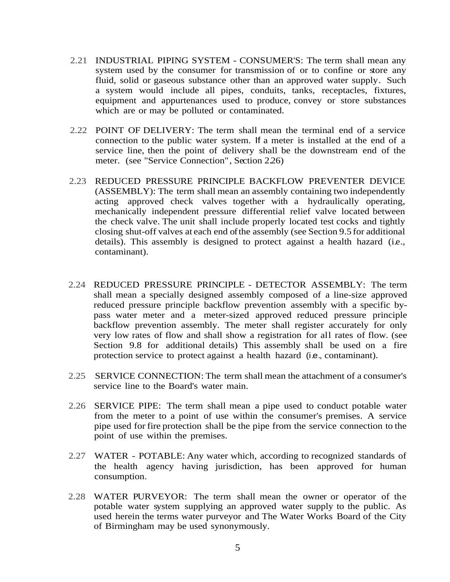- 2.21 INDUSTRIAL PIPING SYSTEM CONSUMER'S: The term shall mean any system used by the consumer for transmission of or to confine or store any fluid, solid or gaseous substance other than an approved water supply. Such a system would include all pipes, conduits, tanks, receptacles, fixtures, equipment and appurtenances used to produce, convey or store substances which are or may be polluted or contaminated.
- 2.22 POINT OF DELIVERY: The term shall mean the terminal end of a service connection to the public water system. If a meter is installed at the end of a service line, then the point of delivery shall be the downstream end of the meter. (see "Service Connection", Section 2.26)
- 2.23 REDUCED PRESSURE PRINCIPLE BACKFLOW PREVENTER DEVICE (ASSEMBLY): The term shall mean an assembly containing two independently acting approved check valves together with a hydraulically operating, mechanically independent pressure differential relief valve located between the check valve. The unit shall include properly located test cocks and tightly closing shut-off valves at each end ofthe assembly (see Section 9.5 for additional details). This assembly is designed to protect against a health hazard (i.e., contaminant).
- 2.24 REDUCED PRESSURE PRINCIPLE DETECTOR ASSEMBLY: The term shall mean a specially designed assembly composed of a line-size approved reduced pressure principle backflow prevention assembly with a specific bypass water meter and a meter-sized approved reduced pressure principle backflow prevention assembly. The meter shall register accurately for only very low rates of flow and shall show a registration for all rates of flow. (see Section 9.8 for additional details) This assembly shall be used on a fire protection service to protect against a health hazard (i.e., contaminant).
- 2.25 SERVICE CONNECTION: The term shall mean the attachment of a consumer's service line to the Board's water main.
- 2.26 SERVICE PIPE: The term shall mean a pipe used to conduct potable water from the meter to a point of use within the consumer's premises. A service pipe used for fire protection shall be the pipe from the service connection to the point of use within the premises.
- 2.27 WATER POTABLE: Any water which, according to recognized standards of the health agency having jurisdiction, has been approved for human consumption.
- 2.28 WATER PURVEYOR: The term shall mean the owner or operator of the potable water system supplying an approved water supply to the public. As used herein the terms water purveyor and The Water Works Board of the City of Birmingham may be used synonymously.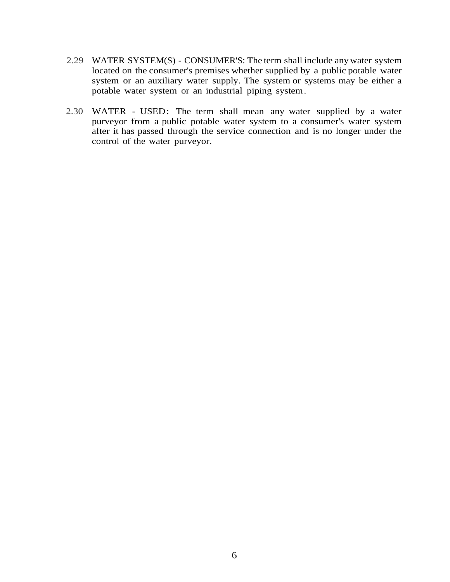- 2.29 WATER SYSTEM(S) CONSUMER'S: The term shall include any water system located on the consumer's premises whether supplied by a public potable water system or an auxiliary water supply. The system or systems may be either a potable water system or an industrial piping system.
- 2.30 WATER USED: The term shall mean any water supplied by a water purveyor from a public potable water system to a consumer's water system after it has passed through the service connection and is no longer under the control of the water purveyor.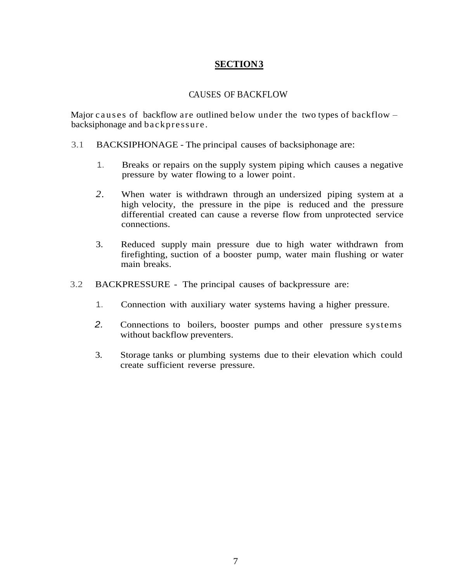# CAUSES OF BACKFLOW

Major causes of backflow are outlined below under the two types of backflow  $$ backsiphonage and backpressure .

- 3.1 BACKSIPHONAGE The principal causes of backsiphonage are:
	- 1. Breaks or repairs on the supply system piping which causes a negative pressure by water flowing to a lower point.
	- *2.* When water is withdrawn through an undersized piping system at a high velocity, the pressure in the pipe is reduced and the pressure differential created can cause a reverse flow from unprotected service connections.
	- 3. Reduced supply main pressure due to high water withdrawn from firefighting, suction of a booster pump, water main flushing or water main breaks.
- 3.2 BACKPRESSURE The principal causes of backpressure are:
	- 1. Connection with auxiliary water systems having a higher pressure.
	- *2.* Connections to boilers, booster pumps and other pressure systems without backflow preventers.
	- 3. Storage tanks or plumbing systems due to their elevation which could create sufficient reverse pressure.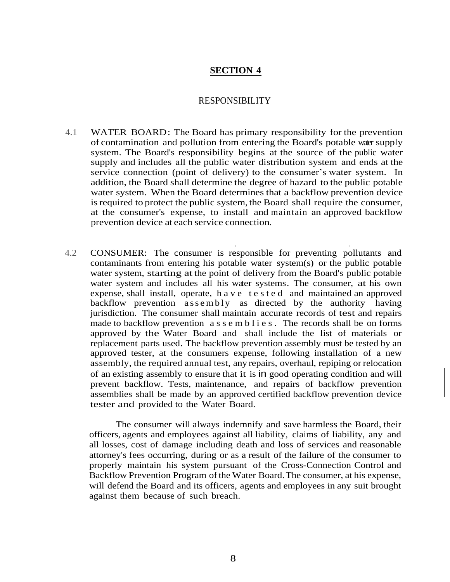## RESPONSIBILITY

4.1 WATER BOARD: The Board has primary responsibility for the prevention of contamination and pollution from entering the Board's potable water supply system. The Board's responsibility begins at the source of the public water supply and includes all the public water distribution system and ends at the service connection (point of delivery) to the consumer's water system. In addition, the Board shall determine the degree of hazard to the public potable water system. When the Board determines that a backflow prevention device is required to protect the public system, the Board shall require the consumer, at the consumer's expense, to install and maintain an approved backflow prevention device at each service connection.

. .

4.2 CONSUMER: The consumer is responsible for preventing pollutants and contaminants from entering his potable water system(s) or the public potable water system, starting at the point of delivery from the Board's public potable water system and includes all his water systems. The consumer, at his own expense, shall install, operate, h a v e t e s t e d and maintained an approved backflow prevention assembly as directed by the authority having jurisdiction. The consumer shall maintain accurate records of test and repairs made to backflow prevention a s s e m b  $\exists$  i e s. The records shall be on forms approved by the Water Board and shall include the list of materials or replacement parts used. The backflow prevention assembly must be tested by an approved tester, at the consumers expense, following installation of a new assembly, the required annual test, any repairs, overhaul, repiping or relocation of an existing assembly to ensure that it is in good operating condition and will prevent backflow. Tests, maintenance, and repairs of backflow prevention assemblies shall be made by an approved certified backflow prevention device tester and provided to the Water Board.

The consumer will always indemnify and save harmless the Board, their officers, agents and employees against all liability, claims of liability, any and all losses, cost of damage including death and loss of services and reasonable attorney's fees occurring, during or as a result of the failure of the consumer to properly maintain his system pursuant of the Cross-Connection Control and Backflow Prevention Program of the Water Board. The consumer, at his expense, will defend the Board and its officers, agents and employees in any suit brought against them because of such breach.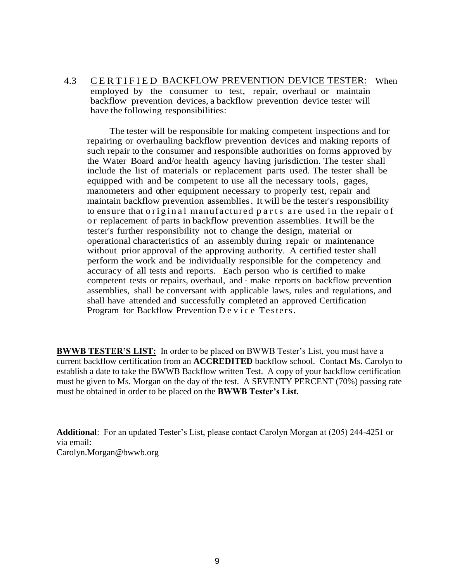4.3 CERTIFIED BACKFLOW PREVENTION DEVICE TESTER: When employed by the consumer to test, repair, overhaul or maintain backflow prevention devices, a backflow prevention device tester will have the following responsibilities:

The tester will be responsible for making competent inspections and for repairing or overhauling backflow prevention devices and making reports of such repair to the consumer and responsible authorities on forms approved by the Water Board and/or health agency having jurisdiction. The tester shall include the list of materials or replacement parts used. The tester shall be equipped with and be competent to use all the necessary tools, gages, manometers and other equipment necessary to properly test, repair and maintain backflow prevention assemblies. It will be the tester's responsibility to ensure that original manufactured parts are used in the repair of o r replacement of parts in backflow prevention assemblies. Itwill be the tester's further responsibility not to change the design, material or operational characteristics of an assembly during repair or maintenance without prior approval of the approving authority. A certified tester shall perform the work and be individually responsible for the competency and accuracy of all tests and reports. Each person who is certified to make competent tests or repairs, overhaul, and · make reports on backflow prevention assemblies, shall be conversant with applicable laws, rules and regulations, and shall have attended and successfully completed an approved Certification Program for Backflow Prevention Device Testers.

**BWWB TESTER'S LIST:** In order to be placed on BWWB Tester's List, you must have a current backflow certification from an **ACCREDITED** backflow school. Contact Ms. Carolyn to establish a date to take the BWWB Backflow written Test. A copy of your backflow certification must be given to Ms. Morgan on the day of the test. A SEVENTY PERCENT (70%) passing rate must be obtained in order to be placed on the **BWWB Tester's List.** 

**Additional**: For an updated Tester's List, please contact Carolyn Morgan at (205) 244-4251 or via email: Carolyn.Morgan@bwwb.org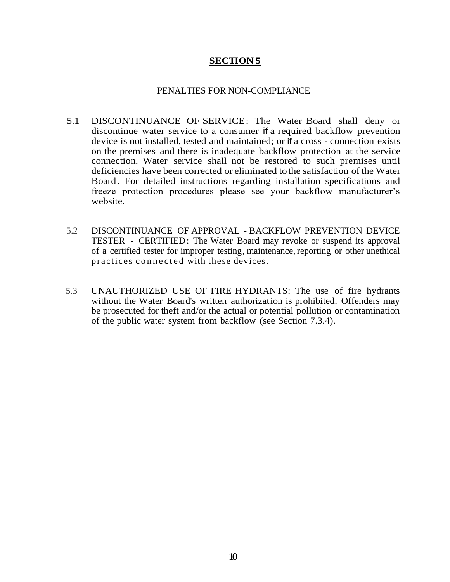### PENALTIES FOR NON-COMPLIANCE

- 5.1 DISCONTINUANCE OF SERVICE: The Water Board shall deny or discontinue water service to a consumer if a required backflow prevention device is not installed, tested and maintained; or if a cross - connection exists on the premises and there is inadequate backflow protection at the service connection. Water service shall not be restored to such premises until deficiencies have been corrected or eliminated tothe satisfaction of the Water Board. For detailed instructions regarding installation specifications and freeze protection procedures please see your backflow manufacturer's website.
- 5.2 DISCONTINUANCE OF APPROVAL BACKFLOW PREVENTION DEVICE TESTER - CERTIFIED: The Water Board may revoke or suspend its approval of a certified tester for improper testing, maintenance, reporting or other unethical practices connected with these devices.
- 5.3 UNAUTHORIZED USE OF FIRE HYDRANTS: The use of fire hydrants without the Water Board's written authorization is prohibited. Offenders may be prosecuted for theft and/or the actual or potential pollution or contamination of the public water system from backflow (see Section 7.3.4).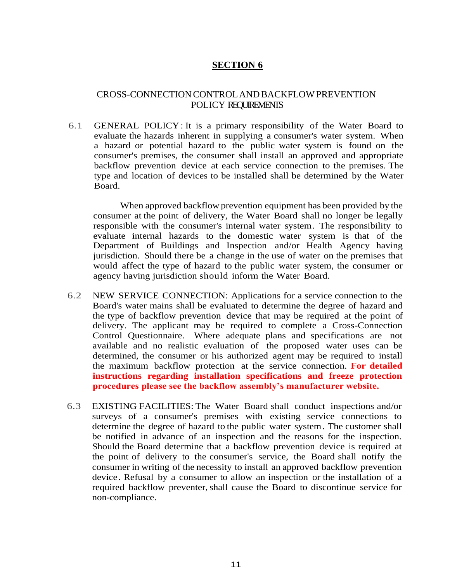## CROSS-CONNECTIONCONTROLANDBACKFLOWPREVENTION POLICY REQUIREMENTS

6.1 GENERAL POLICY: It is a primary responsibility of the Water Board to evaluate the hazards inherent in supplying a consumer's water system. When a hazard or potential hazard to the public water system is found on the consumer's premises, the consumer shall install an approved and appropriate backflow prevention device at each service connection to the premises. The type and location of devices to be installed shall be determined by the Water Board.

When approved backflow prevention equipment has been provided by the consumer at the point of delivery, the Water Board shall no longer be legally responsible with the consumer's internal water system. The responsibility to evaluate internal hazards to the domestic water system is that of the Department of Buildings and Inspection and/or Health Agency having jurisdiction. Should there be a change in the use of water on the premises that would affect the type of hazard to the public water system, the consumer or agency having jurisdiction should inform the Water Board.

- 6.2 NEW SERVICE CONNECTION: Applications for a service connection to the Board's water mains shall be evaluated to determine the degree of hazard and the type of backflow prevention device that may be required at the point of delivery. The applicant may be required to complete a Cross-Connection Control Questionnaire. Where adequate plans and specifications are not available and no realistic evaluation of the proposed water uses can be determined, the consumer or his authorized agent may be required to install the maximum backflow protection at the service connection. **For detailed instructions regarding installation specifications and freeze protection procedures please see the backflow assembly's manufacturer website.**
- 6.3 EXISTING FACILITIES: The Water Board shall conduct inspections and/or surveys of a consumer's premises with existing service connections to determine the degree of hazard to the public water system. The customer shall be notified in advance of an inspection and the reasons for the inspection. Should the Board determine that a backflow prevention device is required at the point of delivery to the consumer's service, the Board shall notify the consumer in writing of the necessity to install an approved backflow prevention device. Refusal by a consumer to allow an inspection or the installation of a required backflow preventer,shall cause the Board to discontinue service for non-compliance.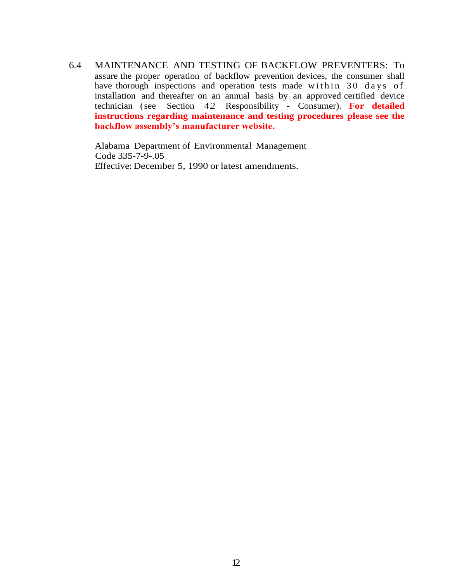6.4 MAINTENANCE AND TESTING OF BACKFLOW PREVENTERS: To assure the proper operation of backflow prevention devices, the consumer shall have thorough inspections and operation tests made within 30 days of installation and thereafter on an annual basis by an approved certified device technician (see Section 4.2 Responsibility - Consumer). **For detailed instructions regarding maintenance and testing procedures please see the backflow assembly's manufacturer website.**

Alabama Department of Environmental Management Code 335-7-9-.05 Effective: December 5, 1990 or latest amendments.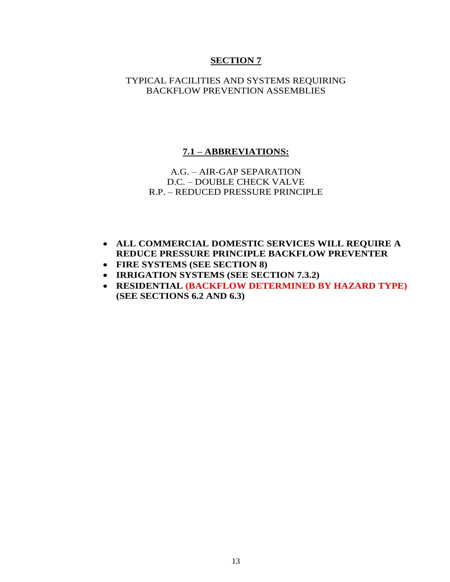## TYPICAL FACILITIES AND SYSTEMS REQUIRING BACKFLOW PREVENTION ASSEMBLIES

#### **7.1 – ABBREVIATIONS:**

## A.G. – AIR-GAP SEPARATION D.C. – DOUBLE CHECK VALVE R.P. – REDUCED PRESSURE PRINCIPLE

- **ALL COMMERCIAL DOMESTIC SERVICES WILL REQUIRE A REDUCE PRESSURE PRINCIPLE BACKFLOW PREVENTER**
- **FIRE SYSTEMS (SEE SECTION 8)**
- **IRRIGATION SYSTEMS (SEE SECTION 7.3.2)**
- **RESIDENTIAL (BACKFLOW DETERMINED BY HAZARD TYPE) (SEE SECTIONS 6.2 AND 6.3)**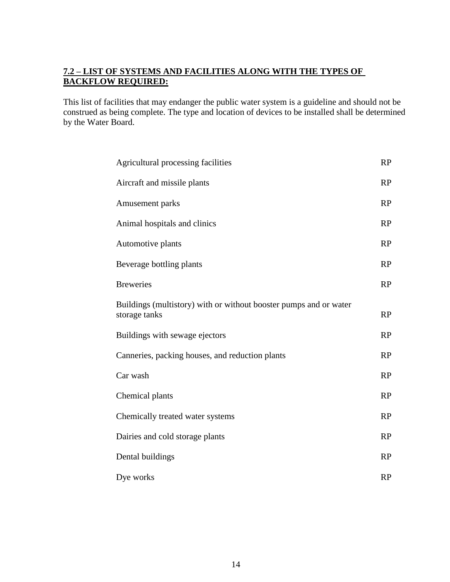# **7.2 – LIST OF SYSTEMS AND FACILITIES ALONG WITH THE TYPES OF BACKFLOW REQUIRED:**

This list of facilities that may endanger the public water system is a guideline and should not be construed as being complete. The type and location of devices to be installed shall be determined by the Water Board.

| Agricultural processing facilities                                                 |           |
|------------------------------------------------------------------------------------|-----------|
| Aircraft and missile plants                                                        | RP        |
| Amusement parks                                                                    | RP        |
| Animal hospitals and clinics                                                       | RP        |
| Automotive plants                                                                  | <b>RP</b> |
| Beverage bottling plants                                                           | RP        |
| <b>Breweries</b>                                                                   | RP        |
| Buildings (multistory) with or without booster pumps and or water<br>storage tanks | RP        |
| Buildings with sewage ejectors                                                     | RP        |
| Canneries, packing houses, and reduction plants                                    | RP        |
| Car wash                                                                           | RP        |
| Chemical plants                                                                    | RP        |
| Chemically treated water systems                                                   | RP        |
| Dairies and cold storage plants                                                    | RP        |
| Dental buildings                                                                   | RP        |
| Dye works                                                                          | RP        |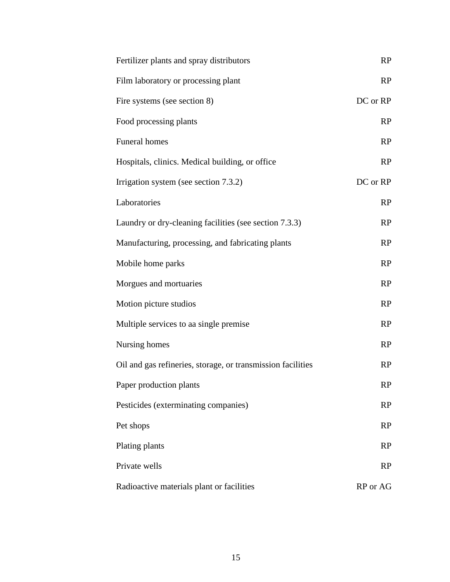| Fertilizer plants and spray distributors                    | RP        |
|-------------------------------------------------------------|-----------|
| Film laboratory or processing plant                         | RP        |
| Fire systems (see section 8)                                | DC or RP  |
| Food processing plants                                      | RP        |
| Funeral homes                                               | RP        |
| Hospitals, clinics. Medical building, or office             | RP        |
| Irrigation system (see section 7.3.2)                       | DC or RP  |
| Laboratories                                                | RP        |
| Laundry or dry-cleaning facilities (see section 7.3.3)      | RP        |
| Manufacturing, processing, and fabricating plants           | RP        |
| Mobile home parks                                           | RP        |
| Morgues and mortuaries                                      | RP        |
| Motion picture studios                                      | RP        |
| Multiple services to aa single premise                      | RP        |
| Nursing homes                                               | RP        |
| Oil and gas refineries, storage, or transmission facilities | RP        |
| Paper production plants                                     | RP        |
| Pesticides (exterminating companies)                        | <b>RP</b> |
| Pet shops                                                   | RP        |
| Plating plants                                              | RP        |
| Private wells                                               | RP        |
| Radioactive materials plant or facilities                   | RP or AG  |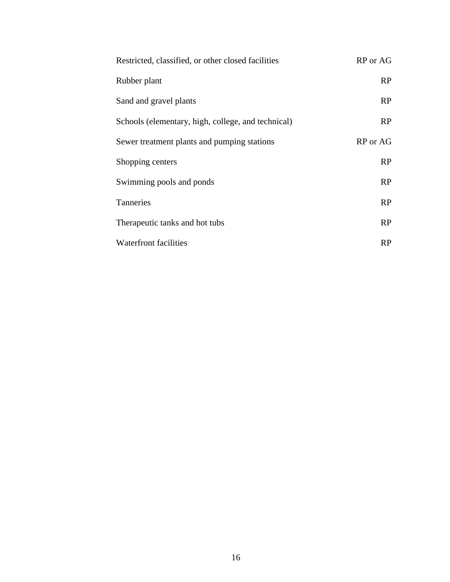| Restricted, classified, or other closed facilities | RP or AG |  |
|----------------------------------------------------|----------|--|
| Rubber plant                                       | RP       |  |
| Sand and gravel plants                             | RP       |  |
| Schools (elementary, high, college, and technical) | RP       |  |
| Sewer treatment plants and pumping stations        | RP or AG |  |
| Shopping centers                                   | RP       |  |
| Swimming pools and ponds                           | RP       |  |
| Tanneries                                          | RP       |  |
| Therapeutic tanks and hot tubs                     | RP       |  |
| Waterfront facilities                              | RP       |  |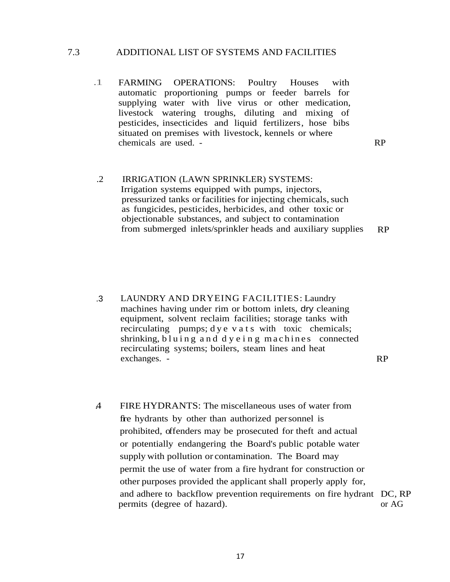#### 7.3 ADDITIONAL LIST OF SYSTEMS AND FACILITIES

.1 FARMING OPERATIONS: Poultry Houses with automatic proportioning pumps or feeder barrels for supplying water with live virus or other medication, livestock watering troughs, diluting and mixing of pesticides, insecticides and liquid fertilizers, hose bibs situated on premises with livestock, kennels or where chemicals are used. - RP

.2 IRRIGATION (LAWN SPRINKLER) SYSTEMS: Irrigation systems equipped with pumps, injectors, pressurized tanks or facilities for injecting chemicals, such as fungicides, pesticides, herbicides, and other toxic or objectionable substances, and subject to contamination from submerged inlets/sprinkler heads and auxiliary supplies RP

.3 LAUNDRY AND DRYEING FACILITIES: Laundry machines having under rim or bottom inlets, dry cleaning equipment, solvent reclaim facilities; storage tanks with recirculating pumps; dye v a t s with toxic chemicals; shrinking, bluing and  $dy \, e \, i \, n \, g$  m achines connected recirculating systems; boilers, steam lines and heat exchanges. - RP

.4 FIRE HYDRANTS: The miscellaneous uses of water from fire hydrants by other than authorized personnel is prohibited, offenders may be prosecuted for theft and actual or potentially endangering the Board's public potable water supply with pollution or contamination. The Board may permit the use of water from a fire hydrant for construction or other purposes provided the applicant shall properly apply for, and adhere to backflow prevention requirements on fire hydrant DC, RP permits (degree of hazard). or AG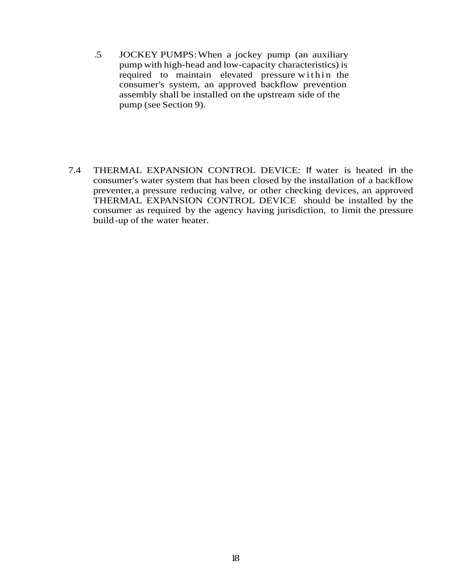- .5 JOCKEY PUMPS:When a jockey pump (an auxiliary pump with high-head and low-capacity characteristics) is required to maintain elevated pressure within the consumer's system, an approved backflow prevention assembly shall be installed on the upstream side of the pump (see Section 9).
- 7.4 THERMAL EXPANSION CONTROL DEVICE: If water is heated in the consumer's water system that has been closed by the installation of a backflow preventer,a pressure reducing valve, or other checking devices, an approved THERMAL EXPANSION CONTROL DEVICE should be installed by the consumer as required by the agency having jurisdiction, to limit the pressure build-up of the water heater.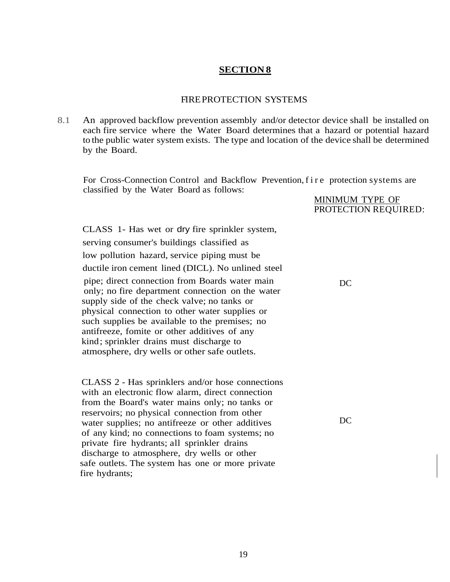#### FIREPROTECTION SYSTEMS

8.1 An approved backflow prevention assembly and/or detector device shall be installed on each fire service where the Water Board determines that a hazard or potential hazard to the public water system exists. The type and location of the device shall be determined by the Board.

For Cross-Connection Control and Backflow Prevention, f i r e protection systems are classified by the Water Board as follows:

> MINIMUM TYPE OF PROTECTION REQUIRED:

CLASS 1- Has wet or dry fire sprinkler system, serving consumer's buildings classified as low pollution hazard, service piping must be ductile iron cement lined (DICL). No unlined steel pipe; direct connection from Boards water main only; no fire department connection on the water supply side of the check valve; no tanks or physical connection to other water supplies or such supplies be available to the premises; no antifreeze, fomite or other additives of any kind; sprinkler drains must discharge to atmosphere, dry wells or other safe outlets.

CLASS 2 - Has sprinklers and/or hose connections with an electronic flow alarm, direct connection from the Board's water mains only; no tanks or reservoirs; no physical connection from other water supplies; no antifreeze or other additives of any kind; no connections to foam systems; no private fire hydrants; all sprinkler drains discharge to atmosphere, dry wells or other safe outlets. The system has one or more private fire hydrants;

DC

DC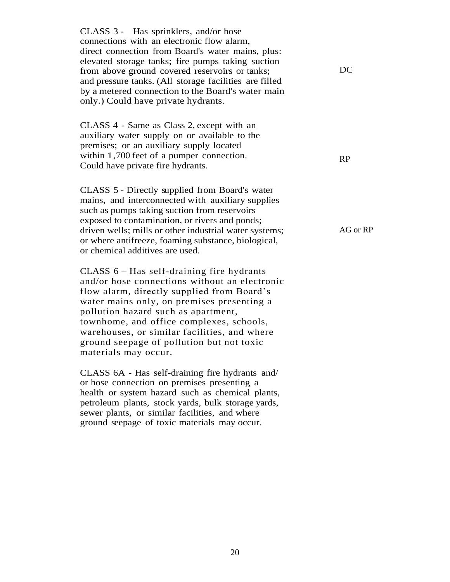CLASS 3 - Has sprinklers, and/or hose connections with an electronic flow alarm, direct connection from Board's water mains, plus: elevated storage tanks; fire pumps taking suction from above ground covered reservoirs or tanks; and pressure tanks. (All storage facilities are filled by a metered connection to the Board's water main only.) Could have private hydrants. CLASS 4 - Same as Class 2, except with an auxiliary water supply on or available to the premises; or an auxiliary supply located within 1*,*700 feet of a pumper connection. Could have private fire hydrants. CLASS 5 - Directly supplied from Board's water mains, and interconnected with auxiliary supplies such as pumps taking suction from reservoirs exposed to contamination, or rivers and ponds; driven wells; mills or other industrial water systems; or where antifreeze, foaming substance, biological, or chemical additives are used. CLASS 6 – Has self-draining fire hydrants and/or hose connections without an electronic flow alarm, directly supplied from Board's water mains only, on premises presenting a pollution hazard such as apartment, townhome, and office complexes, schools, warehouses, or similar facilities, and where ground seepage of pollution but not toxic materials may occur. CLASS 6A - Has self-draining fire hydrants and/ or hose connection on premises presenting a health or system hazard such as chemical plants, petroleum plants, stock yards, bulk storage yards, DC RP AG or RP

sewer plants, or similar facilities, and where ground seepage of toxic materials may occur.

20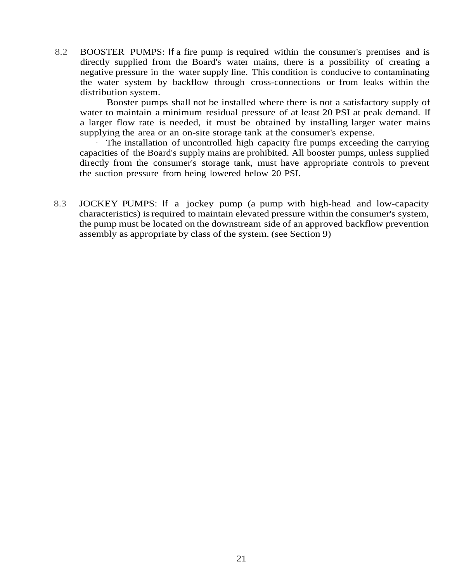8.2 BOOSTER PUMPS: If a fire pump is required within the consumer's premises and is directly supplied from the Board's water mains, there is a possibility of creating a negative pressure in the water supply line. This condition is conducive to contaminating the water system by backflow through cross-connections or from leaks within the distribution system.

Booster pumps shall not be installed where there is not a satisfactory supply of water to maintain a minimum residual pressure of at least 20 PSI at peak demand. If a larger flow rate is needed, it must be obtained by installing larger water mains supplying the area or an on-site storage tank at the consumer's expense.

The installation of uncontrolled high capacity fire pumps exceeding the carrying capacities of the Board's supply mains are prohibited. All booster pumps, unless supplied directly from the consumer's storage tank, must have appropriate controls to prevent the suction pressure from being lowered below 20 PSI.

8.3 JOCKEY PUMPS: If a jockey pump (a pump with high-head and low-capacity characteristics) isrequired to maintain elevated pressure within the consumer's system, the pump must be located on the downstream side of an approved backflow prevention assembly as appropriate by class of the system. (see Section 9)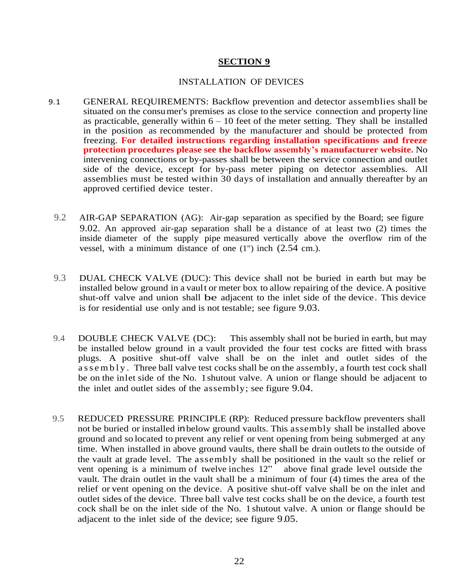#### INSTALLATION OF DEVICES

- 9.1 GENERAL REQUIREMENTS: Backflow prevention and detector assemblies shall be situated on the consumer's premises as close to the service connection and property line as practicable, generally within  $6 - 10$  feet of the meter setting. They shall be installed in the position as recommended by the manufacturer and should be protected from freezing. **For detailed instructions regarding installation specifications and freeze protection procedures please see the backflow assembly's manufacturer website.** No intervening connections or by-passes shall be between the service connection and outlet side of the device, except for by-pass meter piping on detector assemblies. All assemblies must be tested within 30 days of installation and annually thereafter by an approved certified device tester.
	- 9.2 AIR-GAP SEPARATION (AG): Air-gap separation as specified by the Board; see figure 9.02. An approved air-gap separation shall be a distance of at least two (2) times the inside diameter of the supply pipe measured vertically above the overflow rim of the vessel, with a minimum distance of one (1") inch (2.54 cm.).
	- 9.3 DUAL CHECK VALVE (DUC): This device shall not be buried in earth but may be installed below ground in a vault or meter box to allow repairing of the device. A positive shut-off valve and union shall be adjacent to the inlet side of the device. This device is for residential use only and is not testable; see figure 9.03.
- 9.4 DOUBLE CHECK VALVE (DC): This assembly shall not be buried in earth, but may be installed below ground in a vault provided the four test cocks are fitted with brass plugs. A positive shut-off valve shall be on the inlet and outlet sides of the as s e m b l y. Three ball valve test cocks shall be on the assembly, a fourth test cock shall be on the inlet side of the No. 1shutout valve. A union or flange should be adjacent to the inlet and outlet sides of the assembly; see figure 9.04.
- 9.5 REDUCED PRESSURE PRINCIPLE (RP): Reduced pressure backflow preventers shall not be buried or installed inbelow ground vaults. This assembly shall be installed above ground and so located to prevent any relief or vent opening from being submerged at any time. When installed in above ground vaults, there shall be drain outlets to the outside of the vault at grade level. The assembly shall be positioned in the vault so the relief or vent opening is a minimum of twelve inches 12" above final grade level outside the vault. The drain outlet in the vault shall be a minimum of four (4) times the area of the relief or vent opening on the device. A positive shut-off valve shall be on the inlet and outlet sides of the device. Three ball valve test cocks shall be on the device, a fourth test cock shall be on the inlet side of the No. 1 shutout valve. A union or flange should be adjacent to the inlet side of the device; see figure 9.05.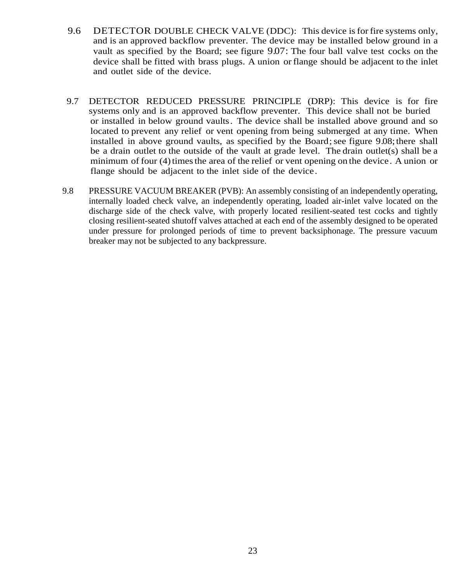- 9.6 DETECTOR DOUBLE CHECK VALVE (DDC): This device is for fire systems only, and is an approved backflow preventer. The device may be installed below ground in a vault as specified by the Board; see figure 9.07: The four ball valve test cocks on the device shall be fitted with brass plugs. A union or flange should be adjacent to the inlet and outlet side of the device.
- 9.7 DETECTOR REDUCED PRESSURE PRINCIPLE (DRP): This device is for fire systems only and is an approved backflow preventer. This device shall not be buried or installed in below ground vaults. The device shall be installed above ground and so located to prevent any relief or vent opening from being submerged at any time. When installed in above ground vaults, as specified by the Board; see figure 9.08; there shall be a drain outlet to the outside of the vault at grade level. The drain outlet(s) shall be a minimum of four (4) times the area of the relief or vent opening on the device. A union or flange should be adjacent to the inlet side of the device.
- 9.8 PRESSURE VACUUM BREAKER (PVB): An assembly consisting of an independently operating, internally loaded check valve, an independently operating, loaded air-inlet valve located on the discharge side of the check valve, with properly located resilient-seated test cocks and tightly closing resilient-seated shutoff valves attached at each end of the assembly designed to be operated under pressure for prolonged periods of time to prevent backsiphonage. The pressure vacuum breaker may not be subjected to any backpressure.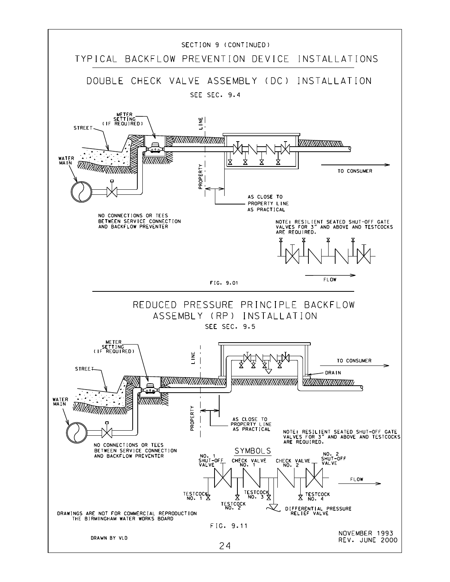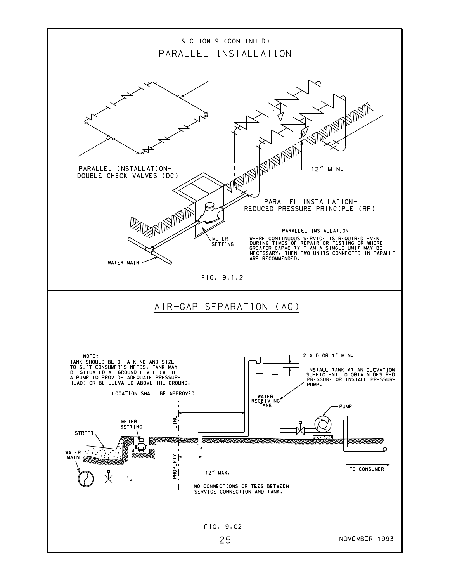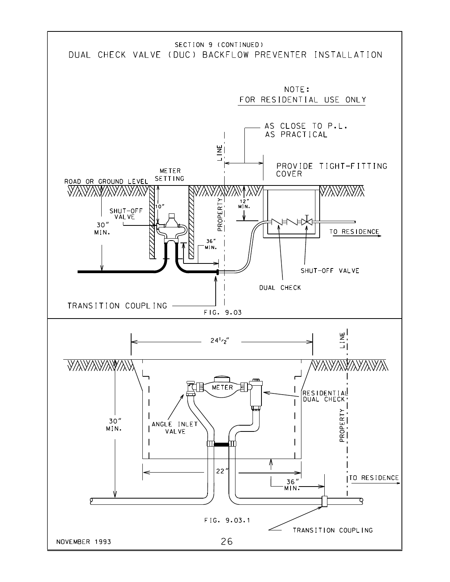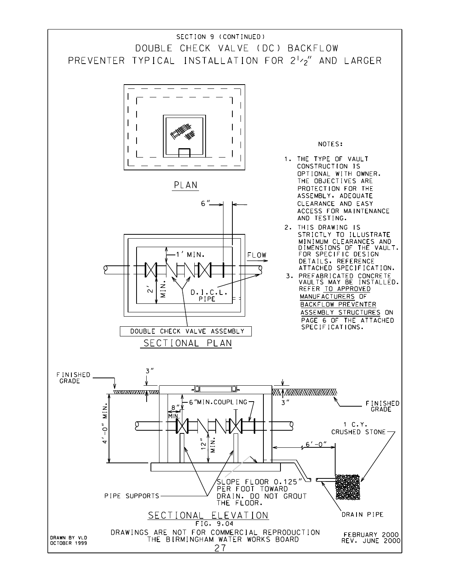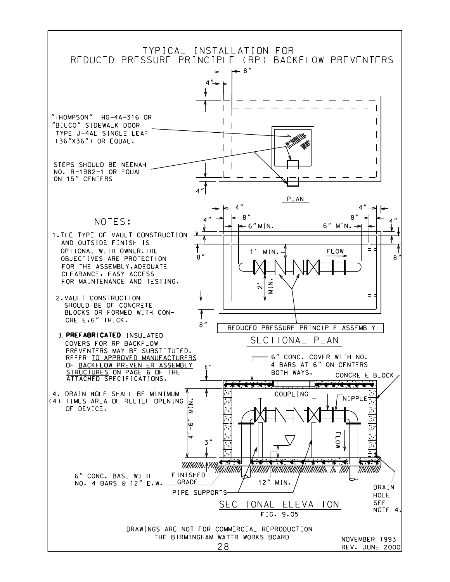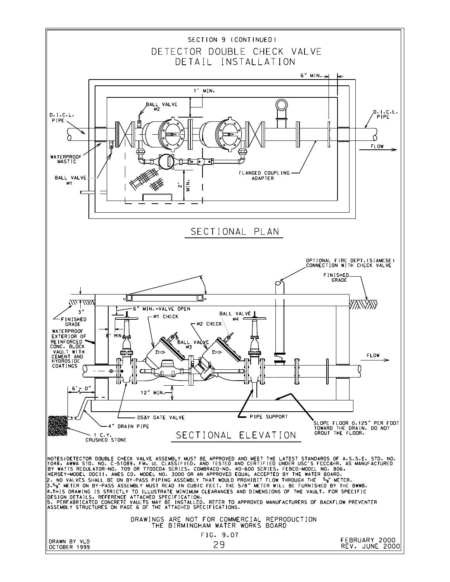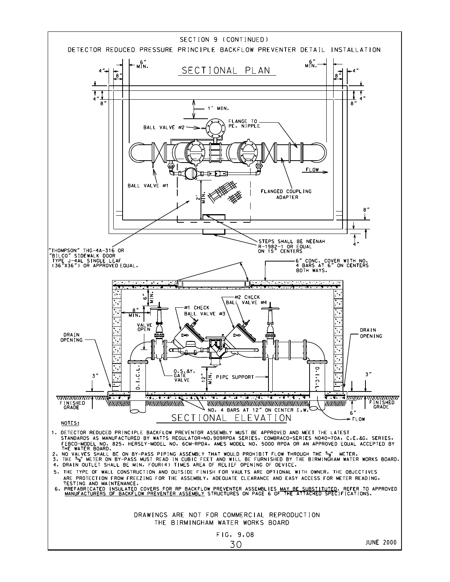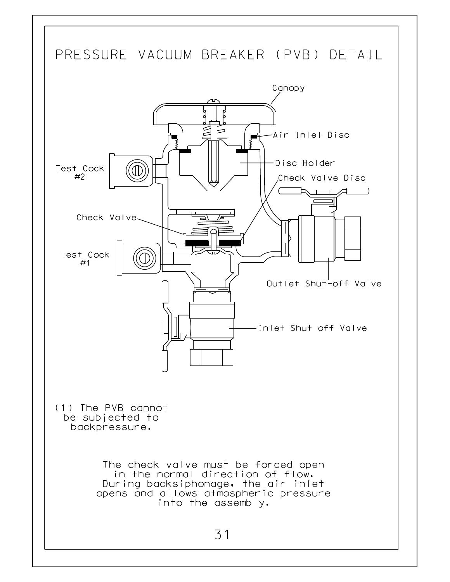